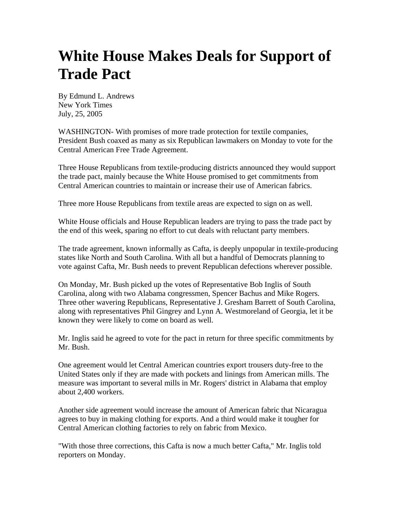## **White House Makes Deals for Support of Trade Pact**

By Edmund L. Andrews New York Times July, 25, 2005

WASHINGTON- With promises of more trade protection for textile companies, President Bush coaxed as many as six Republican lawmakers on Monday to vote for the Central American Free Trade Agreement.

Three House Republicans from textile-producing districts announced they would support the trade pact, mainly because the White House promised to get commitments from Central American countries to maintain or increase their use of American fabrics.

Three more House Republicans from textile areas are expected to sign on as well.

White House officials and House Republican leaders are trying to pass the trade pact by the end of this week, sparing no effort to cut deals with reluctant party members.

The trade agreement, known informally as Cafta, is deeply unpopular in textile-producing states like North and South Carolina. With all but a handful of Democrats planning to vote against Cafta, Mr. Bush needs to prevent Republican defections wherever possible.

On Monday, Mr. Bush picked up the votes of Representative Bob Inglis of South Carolina, along with two Alabama congressmen, Spencer Bachus and Mike Rogers. Three other wavering Republicans, Representative J. Gresham Barrett of South Carolina, along with representatives Phil Gingrey and Lynn A. Westmoreland of Georgia, let it be known they were likely to come on board as well.

Mr. Inglis said he agreed to vote for the pact in return for three specific commitments by Mr. Bush.

One agreement would let Central American countries export trousers duty-free to the United States only if they are made with pockets and linings from American mills. The measure was important to several mills in Mr. Rogers' district in Alabama that employ about 2,400 workers.

Another side agreement would increase the amount of American fabric that Nicaragua agrees to buy in making clothing for exports. And a third would make it tougher for Central American clothing factories to rely on fabric from Mexico.

"With those three corrections, this Cafta is now a much better Cafta," Mr. Inglis told reporters on Monday.